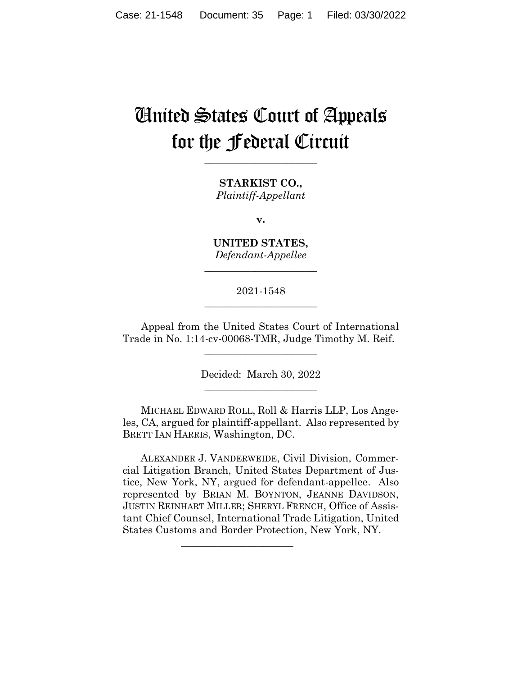# United States Court of Appeals for the Federal Circuit

**\_\_\_\_\_\_\_\_\_\_\_\_\_\_\_\_\_\_\_\_\_\_** 

**STARKIST CO.,** *Plaintiff-Appellant*

**v.**

**UNITED STATES,** *Defendant-Appellee*

**\_\_\_\_\_\_\_\_\_\_\_\_\_\_\_\_\_\_\_\_\_\_** 

2021-1548 **\_\_\_\_\_\_\_\_\_\_\_\_\_\_\_\_\_\_\_\_\_\_** 

Appeal from the United States Court of International Trade in No. 1:14-cv-00068-TMR, Judge Timothy M. Reif.

\_\_\_\_\_\_\_\_\_\_\_\_\_\_\_\_\_\_\_\_\_\_

Decided: March 30, 2022 \_\_\_\_\_\_\_\_\_\_\_\_\_\_\_\_\_\_\_\_\_\_

MICHAEL EDWARD ROLL, Roll & Harris LLP, Los Angeles, CA, argued for plaintiff-appellant. Also represented by BRETT IAN HARRIS, Washington, DC.

 ALEXANDER J. VANDERWEIDE, Civil Division, Commercial Litigation Branch, United States Department of Justice, New York, NY, argued for defendant-appellee. Also represented by BRIAN M. BOYNTON, JEANNE DAVIDSON, JUSTIN REINHART MILLER; SHERYL FRENCH, Office of Assistant Chief Counsel, International Trade Litigation, United States Customs and Border Protection, New York, NY.

 $\mathcal{L}_\text{max}$  and  $\mathcal{L}_\text{max}$  and  $\mathcal{L}_\text{max}$  and  $\mathcal{L}_\text{max}$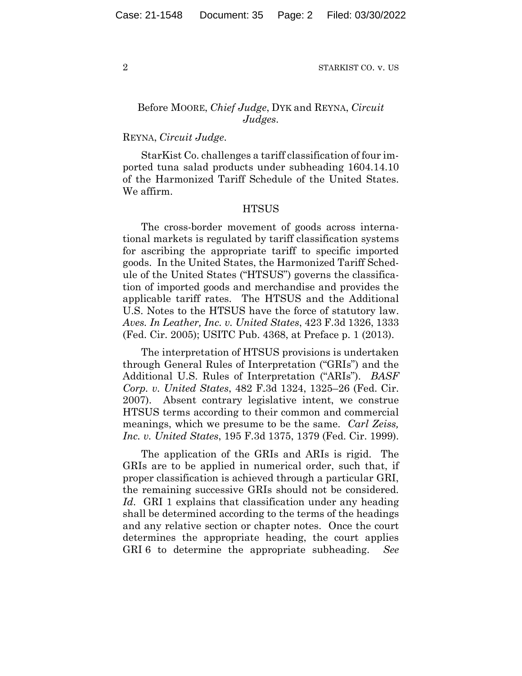## Before MOORE, *Chief Judge*, DYK and REYNA, *Circuit Judges*.

#### REYNA, *Circuit Judge*.

StarKist Co. challenges a tariff classification of four imported tuna salad products under subheading 1604.14.10 of the Harmonized Tariff Schedule of the United States. We affirm.

#### **HTSUS**

The cross-border movement of goods across international markets is regulated by tariff classification systems for ascribing the appropriate tariff to specific imported goods. In the United States, the Harmonized Tariff Schedule of the United States ("HTSUS") governs the classification of imported goods and merchandise and provides the applicable tariff rates. The HTSUS and the Additional U.S. Notes to the HTSUS have the force of statutory law. *Aves. In Leather, Inc. v. United States*, 423 F.3d 1326, 1333 (Fed. Cir. 2005); USITC Pub. 4368, at Preface p. 1 (2013).

The interpretation of HTSUS provisions is undertaken through General Rules of Interpretation ("GRIs") and the Additional U.S. Rules of Interpretation ("ARIs"). *BASF Corp. v. United States*, 482 F.3d 1324, 1325–26 (Fed. Cir. 2007). Absent contrary legislative intent, we construe HTSUS terms according to their common and commercial meanings, which we presume to be the same. *Carl Zeiss, Inc. v. United States*, 195 F.3d 1375, 1379 (Fed. Cir. 1999).

The application of the GRIs and ARIs is rigid. The GRIs are to be applied in numerical order, such that, if proper classification is achieved through a particular GRI, the remaining successive GRIs should not be considered. Id. GRI 1 explains that classification under any heading shall be determined according to the terms of the headings and any relative section or chapter notes. Once the court determines the appropriate heading, the court applies GRI 6 to determine the appropriate subheading. *See*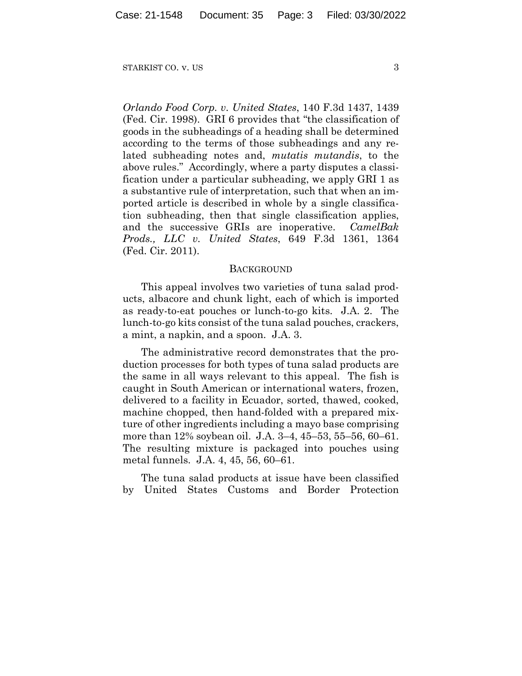*Orlando Food Corp. v. United States*, 140 F.3d 1437, 1439 (Fed. Cir. 1998). GRI 6 provides that "the classification of goods in the subheadings of a heading shall be determined according to the terms of those subheadings and any related subheading notes and, *mutatis mutandis*, to the above rules." Accordingly, where a party disputes a classification under a particular subheading, we apply GRI 1 as a substantive rule of interpretation, such that when an imported article is described in whole by a single classification subheading, then that single classification applies, and the successive GRIs are inoperative. *CamelBak Prods., LLC v. United States*, 649 F.3d 1361, 1364 (Fed. Cir. 2011).

#### **BACKGROUND**

This appeal involves two varieties of tuna salad products, albacore and chunk light, each of which is imported as ready-to-eat pouches or lunch-to-go kits. J.A. 2. The lunch-to-go kits consist of the tuna salad pouches, crackers, a mint, a napkin, and a spoon. J.A. 3.

The administrative record demonstrates that the production processes for both types of tuna salad products are the same in all ways relevant to this appeal. The fish is caught in South American or international waters, frozen, delivered to a facility in Ecuador, sorted, thawed, cooked, machine chopped, then hand-folded with a prepared mixture of other ingredients including a mayo base comprising more than 12% soybean oil. J.A. 3–4, 45–53, 55–56, 60–61. The resulting mixture is packaged into pouches using metal funnels. J.A. 4, 45, 56, 60–61.

The tuna salad products at issue have been classified by United States Customs and Border Protection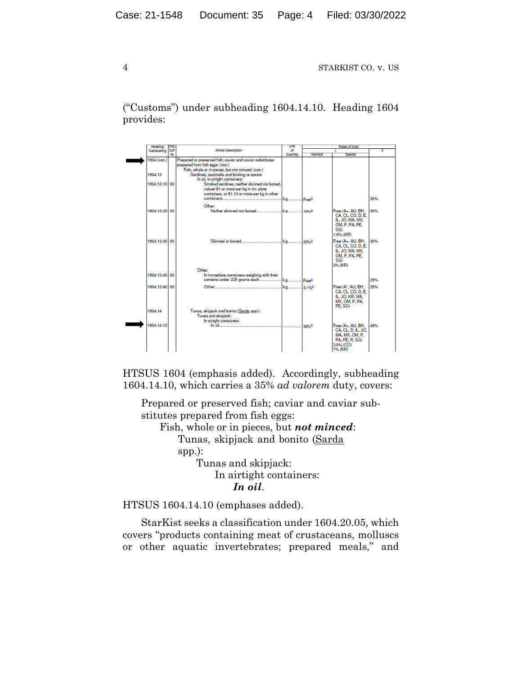("Customs") under subheading 1604.14.10. Heading 1604 provides:



HTSUS 1604 (emphasis added). Accordingly, subheading 1604.14.10, which carries a 35% *ad valorem* duty, covers:

Prepared or preserved fish; caviar and caviar substitutes prepared from fish eggs:

Fish, whole or in pieces, but *not minced*: Tunas, skipjack and bonito (Sarda

spp.):

Tunas and skipjack: In airtight containers: *In oil*.

HTSUS 1604.14.10 (emphases added).

StarKist seeks a classification under 1604.20.05, which covers "products containing meat of crustaceans, molluscs or other aquatic invertebrates; prepared meals," and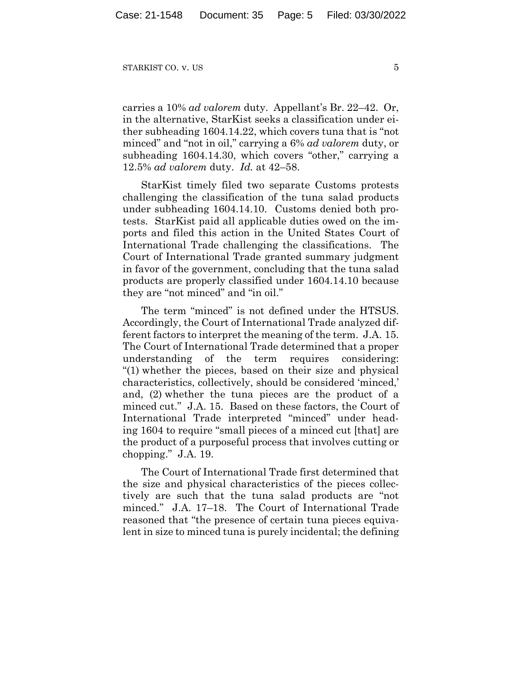carries a 10% *ad valorem* duty. Appellant's Br. 22–42. Or, in the alternative, StarKist seeks a classification under either subheading 1604.14.22, which covers tuna that is "not minced" and "not in oil," carrying a 6% *ad valorem* duty, or subheading 1604.14.30, which covers "other," carrying a 12.5% *ad valorem* duty. *Id.* at 42–58.

StarKist timely filed two separate Customs protests challenging the classification of the tuna salad products under subheading 1604.14.10. Customs denied both protests. StarKist paid all applicable duties owed on the imports and filed this action in the United States Court of International Trade challenging the classifications. The Court of International Trade granted summary judgment in favor of the government, concluding that the tuna salad products are properly classified under 1604.14.10 because they are "not minced" and "in oil."

The term "minced" is not defined under the HTSUS. Accordingly, the Court of International Trade analyzed different factors to interpret the meaning of the term. J.A. 15. The Court of International Trade determined that a proper understanding of the term requires considering: "(1) whether the pieces, based on their size and physical characteristics, collectively, should be considered 'minced,' and, (2) whether the tuna pieces are the product of a minced cut." J.A. 15. Based on these factors, the Court of International Trade interpreted "minced" under heading 1604 to require "small pieces of a minced cut [that] are the product of a purposeful process that involves cutting or chopping." J.A. 19.

The Court of International Trade first determined that the size and physical characteristics of the pieces collectively are such that the tuna salad products are "not minced." J.A. 17–18. The Court of International Trade reasoned that "the presence of certain tuna pieces equivalent in size to minced tuna is purely incidental; the defining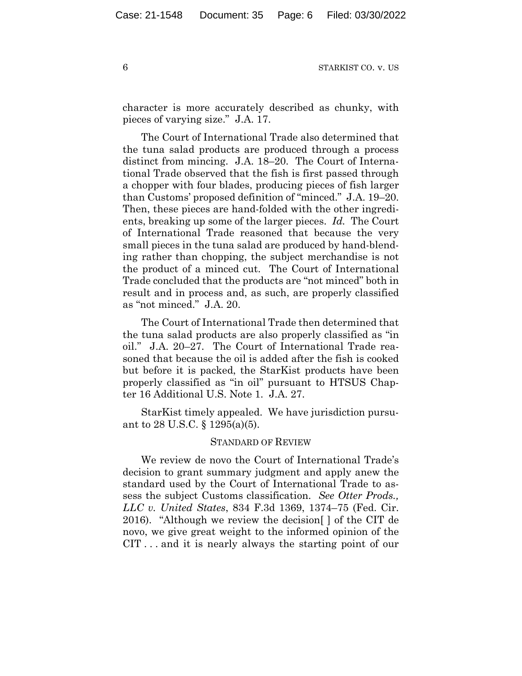character is more accurately described as chunky, with pieces of varying size." J.A. 17.

The Court of International Trade also determined that the tuna salad products are produced through a process distinct from mincing. J.A. 18–20. The Court of International Trade observed that the fish is first passed through a chopper with four blades, producing pieces of fish larger than Customs' proposed definition of "minced." J.A. 19–20. Then, these pieces are hand-folded with the other ingredients, breaking up some of the larger pieces. *Id.* The Court of International Trade reasoned that because the very small pieces in the tuna salad are produced by hand-blending rather than chopping, the subject merchandise is not the product of a minced cut. The Court of International Trade concluded that the products are "not minced" both in result and in process and, as such, are properly classified as "not minced." J.A. 20.

The Court of International Trade then determined that the tuna salad products are also properly classified as "in oil." J.A. 20–27. The Court of International Trade reasoned that because the oil is added after the fish is cooked but before it is packed, the StarKist products have been properly classified as "in oil" pursuant to HTSUS Chapter 16 Additional U.S. Note 1. J.A. 27.

StarKist timely appealed. We have jurisdiction pursuant to 28 U.S.C. § 1295(a)(5).

#### STANDARD OF REVIEW

We review de novo the Court of International Trade's decision to grant summary judgment and apply anew the standard used by the Court of International Trade to assess the subject Customs classification. *See Otter Prods., LLC v. United States*, 834 F.3d 1369, 1374–75 (Fed. Cir. 2016). "Although we review the decision[ ] of the CIT de novo, we give great weight to the informed opinion of the CIT . . . and it is nearly always the starting point of our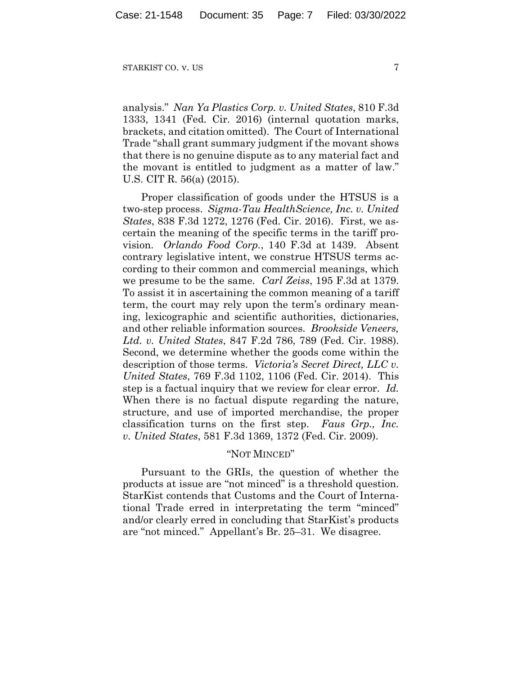analysis." *Nan Ya Plastics Corp. v. United States*, 810 F.3d 1333, 1341 (Fed. Cir. 2016) (internal quotation marks, brackets, and citation omitted). The Court of International Trade "shall grant summary judgment if the movant shows that there is no genuine dispute as to any material fact and the movant is entitled to judgment as a matter of law." U.S. CIT R. 56(a) (2015).

Proper classification of goods under the HTSUS is a two-step process. *Sigma-Tau HealthScience, Inc. v. United States*, 838 F.3d 1272, 1276 (Fed. Cir. 2016). First, we ascertain the meaning of the specific terms in the tariff provision. *Orlando Food Corp.*, 140 F.3d at 1439. Absent contrary legislative intent, we construe HTSUS terms according to their common and commercial meanings, which we presume to be the same. *Carl Zeiss*, 195 F.3d at 1379. To assist it in ascertaining the common meaning of a tariff term, the court may rely upon the term's ordinary meaning, lexicographic and scientific authorities, dictionaries, and other reliable information sources. *Brookside Veneers, Ltd. v. United States*, 847 F.2d 786, 789 (Fed. Cir. 1988). Second, we determine whether the goods come within the description of those terms. *Victoria's Secret Direct, LLC v. United States*, 769 F.3d 1102, 1106 (Fed. Cir. 2014). This step is a factual inquiry that we review for clear error. *Id.* When there is no factual dispute regarding the nature, structure, and use of imported merchandise, the proper classification turns on the first step. *Faus Grp., Inc. v. United States*, 581 F.3d 1369, 1372 (Fed. Cir. 2009).

#### "NOT MINCED"

Pursuant to the GRIs, the question of whether the products at issue are "not minced" is a threshold question. StarKist contends that Customs and the Court of International Trade erred in interpretating the term "minced" and/or clearly erred in concluding that StarKist's products are "not minced." Appellant's Br. 25–31. We disagree.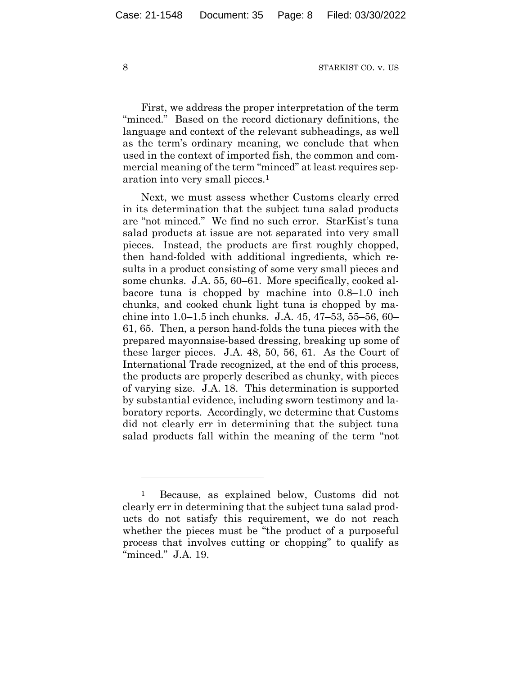First, we address the proper interpretation of the term "minced." Based on the record dictionary definitions, the language and context of the relevant subheadings, as well as the term's ordinary meaning, we conclude that when used in the context of imported fish, the common and commercial meaning of the term "minced" at least requires separation into very small pieces.1

Next, we must assess whether Customs clearly erred in its determination that the subject tuna salad products are "not minced." We find no such error. StarKist's tuna salad products at issue are not separated into very small pieces. Instead, the products are first roughly chopped, then hand-folded with additional ingredients, which results in a product consisting of some very small pieces and some chunks. J.A. 55, 60–61. More specifically, cooked albacore tuna is chopped by machine into 0.8–1.0 inch chunks, and cooked chunk light tuna is chopped by machine into 1.0–1.5 inch chunks. J.A. 45, 47–53, 55–56, 60– 61, 65. Then, a person hand-folds the tuna pieces with the prepared mayonnaise-based dressing, breaking up some of these larger pieces. J.A. 48, 50, 56, 61. As the Court of International Trade recognized, at the end of this process, the products are properly described as chunky, with pieces of varying size. J.A. 18. This determination is supported by substantial evidence, including sworn testimony and laboratory reports. Accordingly, we determine that Customs did not clearly err in determining that the subject tuna salad products fall within the meaning of the term "not

<sup>1</sup> Because, as explained below, Customs did not clearly err in determining that the subject tuna salad products do not satisfy this requirement, we do not reach whether the pieces must be "the product of a purposeful process that involves cutting or chopping" to qualify as "minced." J.A. 19.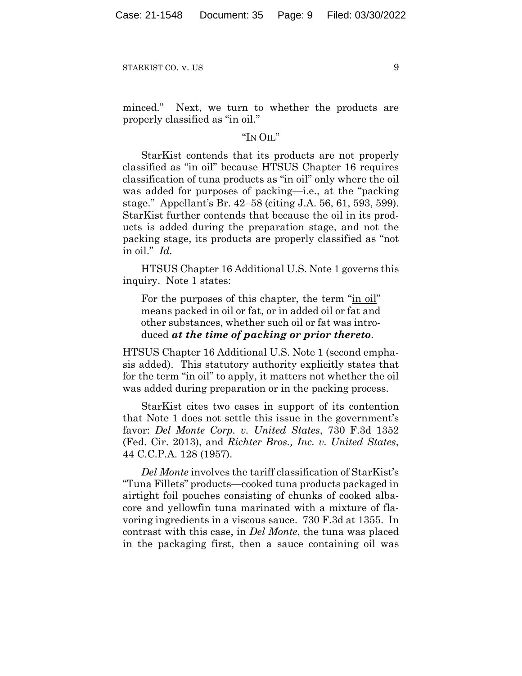minced." Next, we turn to whether the products are properly classified as "in oil."

### "IN OIL"

StarKist contends that its products are not properly classified as "in oil" because HTSUS Chapter 16 requires classification of tuna products as "in oil" only where the oil was added for purposes of packing—i.e., at the "packing stage." Appellant's Br. 42–58 (citing J.A. 56, 61, 593, 599). StarKist further contends that because the oil in its products is added during the preparation stage, and not the packing stage, its products are properly classified as "not in oil." *Id.*

HTSUS Chapter 16 Additional U.S. Note 1 governs this inquiry. Note 1 states:

For the purposes of this chapter, the term "in oil" means packed in oil or fat, or in added oil or fat and other substances, whether such oil or fat was introduced *at the time of packing or prior thereto*.

HTSUS Chapter 16 Additional U.S. Note 1 (second emphasis added). This statutory authority explicitly states that for the term "in oil" to apply, it matters not whether the oil was added during preparation or in the packing process.

StarKist cites two cases in support of its contention that Note 1 does not settle this issue in the government's favor: *Del Monte Corp. v. United States*, 730 F.3d 1352 (Fed. Cir. 2013), and *Richter Bros., Inc. v. United States*, 44 C.C.P.A. 128 (1957).

*Del Monte* involves the tariff classification of StarKist's "Tuna Fillets" products—cooked tuna products packaged in airtight foil pouches consisting of chunks of cooked albacore and yellowfin tuna marinated with a mixture of flavoring ingredients in a viscous sauce. 730 F.3d at 1355. In contrast with this case, in *Del Monte*, the tuna was placed in the packaging first, then a sauce containing oil was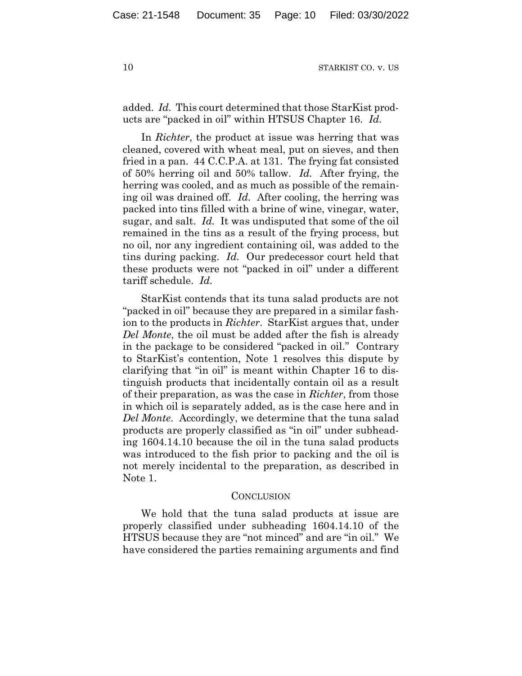added. *Id.* This court determined that those StarKist products are "packed in oil" within HTSUS Chapter 16. *Id.*

In *Richter*, the product at issue was herring that was cleaned, covered with wheat meal, put on sieves, and then fried in a pan. 44 C.C.P.A. at 131. The frying fat consisted of 50% herring oil and 50% tallow. *Id.* After frying, the herring was cooled, and as much as possible of the remaining oil was drained off. *Id.* After cooling, the herring was packed into tins filled with a brine of wine, vinegar, water, sugar, and salt. *Id.* It was undisputed that some of the oil remained in the tins as a result of the frying process, but no oil, nor any ingredient containing oil, was added to the tins during packing. *Id.* Our predecessor court held that these products were not "packed in oil" under a different tariff schedule. *Id.*

StarKist contends that its tuna salad products are not "packed in oil" because they are prepared in a similar fashion to the products in *Richter*. StarKist argues that, under *Del Monte*, the oil must be added after the fish is already in the package to be considered "packed in oil." Contrary to StarKist's contention, Note 1 resolves this dispute by clarifying that "in oil" is meant within Chapter 16 to distinguish products that incidentally contain oil as a result of their preparation, as was the case in *Richter*, from those in which oil is separately added, as is the case here and in *Del Monte*. Accordingly, we determine that the tuna salad products are properly classified as "in oil" under subheading 1604.14.10 because the oil in the tuna salad products was introduced to the fish prior to packing and the oil is not merely incidental to the preparation, as described in Note 1.

#### CONCLUSION

We hold that the tuna salad products at issue are properly classified under subheading 1604.14.10 of the HTSUS because they are "not minced" and are "in oil." We have considered the parties remaining arguments and find